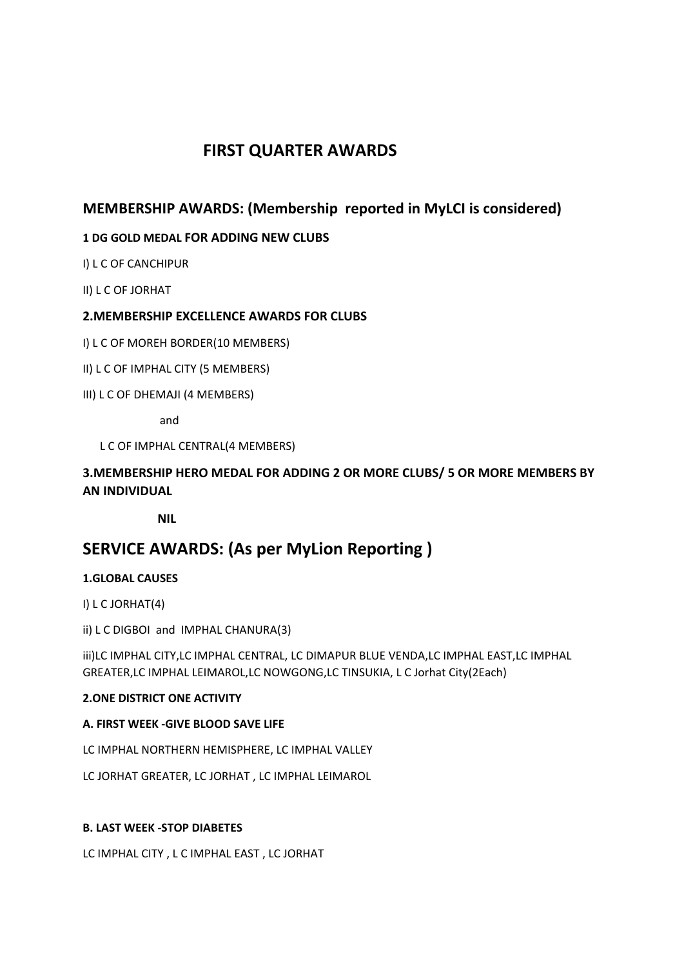# **FIRST QUARTER AWARDS**

# **MEMBERSHIP AWARDS: (Membership reported in MyLCI is considered)**

### **1 DG GOLD MEDAL FOR ADDING NEW CLUBS**

I) L C OF CANCHIPUR

II) L C OF JORHAT

#### **2.MEMBERSHIP EXCELLENCE AWARDS FOR CLUBS**

I) L C OF MOREH BORDER(10 MEMBERS)

- II) L C OF IMPHAL CITY (5 MEMBERS)
- III) L C OF DHEMAJI (4 MEMBERS)

and

L C OF IMPHAL CENTRAL(4 MEMBERS)

## **3.MEMBERSHIP HERO MEDAL FOR ADDING 2 OR MORE CLUBS/ 5 OR MORE MEMBERS BY AN INDIVIDUAL**

 **NIL**

# **SERVICE AWARDS: (As per MyLion Reporting )**

#### **1.GLOBAL CAUSES**

I) L C JORHAT(4)

ii) L C DIGBOI and IMPHAL CHANURA(3)

iii)LC IMPHAL CITY,LC IMPHAL CENTRAL, LC DIMAPUR BLUE VENDA,LC IMPHAL EAST,LC IMPHAL GREATER,LC IMPHAL LEIMAROL,LC NOWGONG,LC TINSUKIA, L C Jorhat City(2Each)

#### **2.ONE DISTRICT ONE ACTIVITY**

#### **A. FIRST WEEK -GIVE BLOOD SAVE LIFE**

LC IMPHAL NORTHERN HEMISPHERE, LC IMPHAL VALLEY

LC JORHAT GREATER, LC JORHAT , LC IMPHAL LEIMAROL

#### **B. LAST WEEK -STOP DIABETES**

LC IMPHAL CITY , L C IMPHAL EAST , LC JORHAT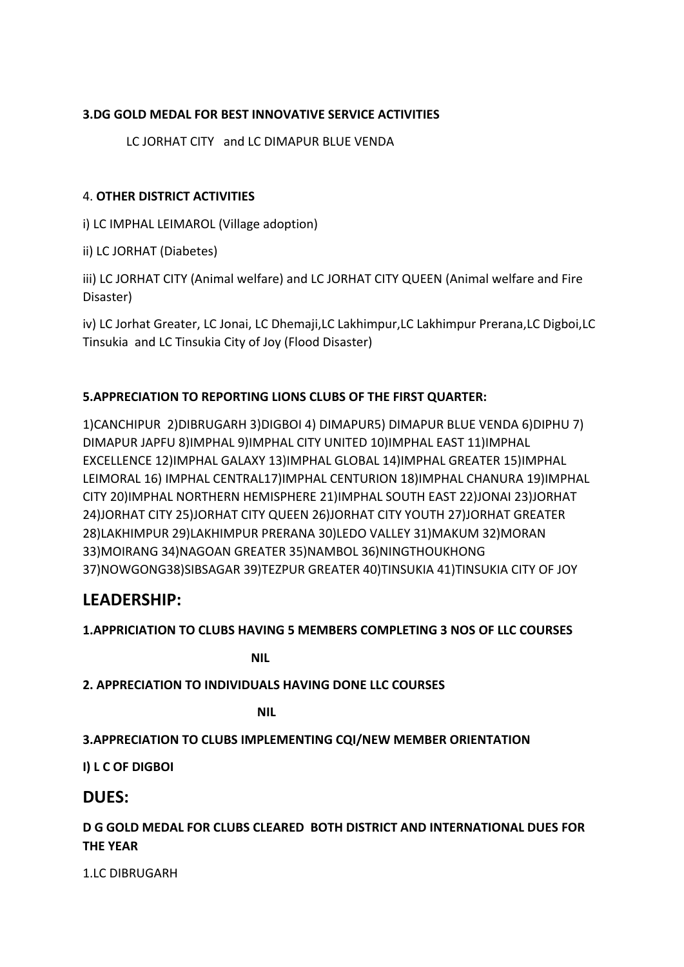### **3.DG GOLD MEDAL FOR BEST INNOVATIVE SERVICE ACTIVITIES**

LC JORHAT CITY and LC DIMAPUR BLUE VENDA

### 4. **OTHER DISTRICT ACTIVITIES**

i) LC IMPHAL LEIMAROL (Village adoption)

ii) LC JORHAT (Diabetes)

iii) LC JORHAT CITY (Animal welfare) and LC JORHAT CITY QUEEN (Animal welfare and Fire Disaster)

iv) LC Jorhat Greater, LC Jonai, LC Dhemaji,LC Lakhimpur,LC Lakhimpur Prerana,LC Digboi,LC Tinsukia and LC Tinsukia City of Joy (Flood Disaster)

### **5.APPRECIATION TO REPORTING LIONS CLUBS OF THE FIRST QUARTER:**

1)CANCHIPUR 2)DIBRUGARH 3)DIGBOI 4) DIMAPUR5) DIMAPUR BLUE VENDA 6)DIPHU 7) DIMAPUR JAPFU 8)IMPHAL 9)IMPHAL CITY UNITED 10)IMPHAL EAST 11)IMPHAL EXCELLENCE 12)IMPHAL GALAXY 13)IMPHAL GLOBAL 14)IMPHAL GREATER 15)IMPHAL LEIMORAL 16) IMPHAL CENTRAL17)IMPHAL CENTURION 18)IMPHAL CHANURA 19)IMPHAL CITY 20)IMPHAL NORTHERN HEMISPHERE 21)IMPHAL SOUTH EAST 22)JONAI 23)JORHAT 24)JORHAT CITY 25)JORHAT CITY QUEEN 26)JORHAT CITY YOUTH 27)JORHAT GREATER 28)LAKHIMPUR 29)LAKHIMPUR PRERANA 30)LEDO VALLEY 31)MAKUM 32)MORAN 33)MOIRANG 34)NAGOAN GREATER 35)NAMBOL 36)NINGTHOUKHONG 37)NOWGONG38)SIBSAGAR 39)TEZPUR GREATER 40)TINSUKIA 41)TINSUKIA CITY OF JOY

# **LEADERSHIP:**

### **1.APPRICIATION TO CLUBS HAVING 5 MEMBERS COMPLETING 3 NOS OF LLC COURSES**

 **NIL**

**2. APPRECIATION TO INDIVIDUALS HAVING DONE LLC COURSES**

*NIL* NIL

### **3.APPRECIATION TO CLUBS IMPLEMENTING CQI/NEW MEMBER ORIENTATION**

**I) L C OF DIGBOI** 

## **DUES:**

**D G GOLD MEDAL FOR CLUBS CLEARED BOTH DISTRICT AND INTERNATIONAL DUES FOR THE YEAR**

1.LC DIBRUGARH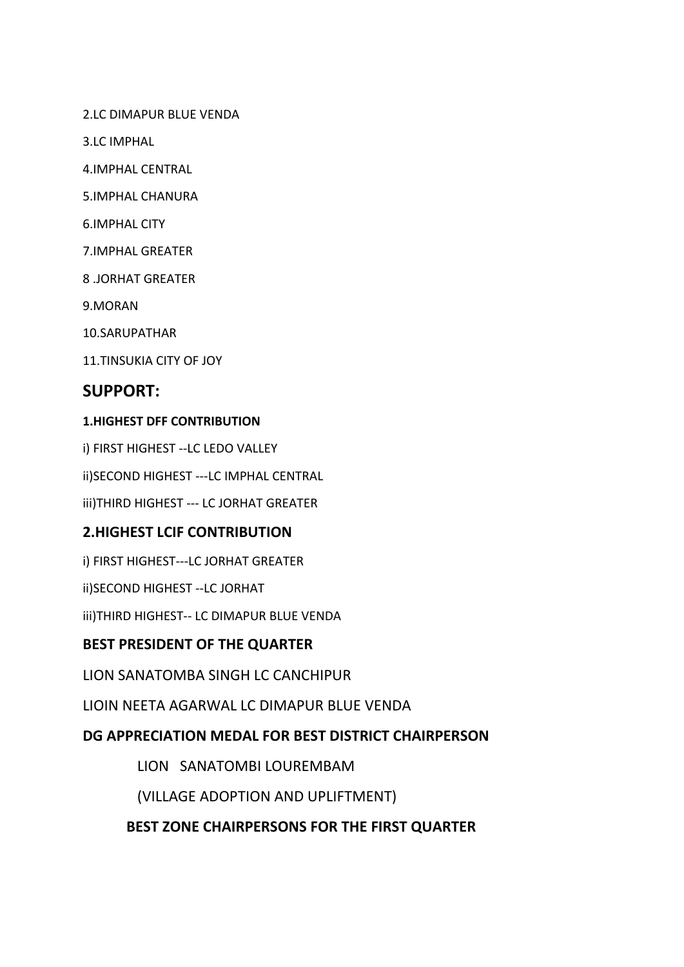2.LC DIMAPUR BLUE VENDA

3.LC IMPHAL

4.IMPHAL CENTRAL

5.IMPHAL CHANURA

6.IMPHAL CITY

7.IMPHAL GREATER

8 .JORHAT GREATER

9.MORAN

10.SARUPATHAR

11.TINSUKIA CITY OF JOY

# **SUPPORT:**

#### **1.HIGHEST DFF CONTRIBUTION**

i) FIRST HIGHEST --LC LEDO VALLEY

ii)SECOND HIGHEST ---LC IMPHAL CENTRAL

iii)THIRD HIGHEST --- LC JORHAT GREATER

## **2.HIGHEST LCIF CONTRIBUTION**

i) FIRST HIGHEST---LC JORHAT GREATER

ii)SECOND HIGHEST --LC JORHAT

iii)THIRD HIGHEST-- LC DIMAPUR BLUE VENDA

## **BEST PRESIDENT OF THE QUARTER**

LION SANATOMBA SINGH LC CANCHIPUR

LIOIN NEETA AGARWAL LC DIMAPUR BLUE VENDA

# **DG APPRECIATION MEDAL FOR BEST DISTRICT CHAIRPERSON**

LIONSANATOMBI LOUREMBAM

(VILLAGE ADOPTION AND UPLIFTMENT)

### **BEST ZONE CHAIRPERSONS FOR THE FIRST QUARTER**